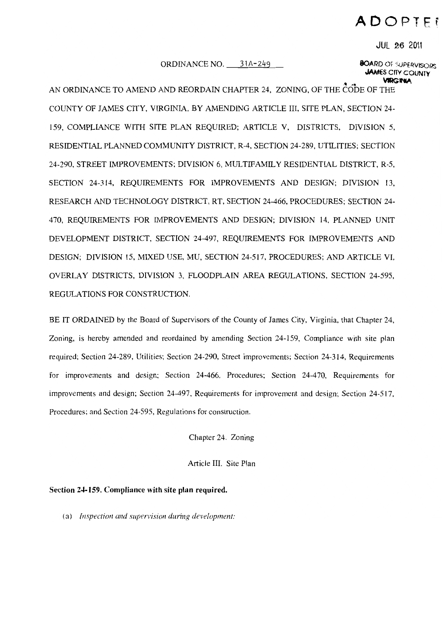# ADOPTER

**JUL 26 2011** 

ORDINANCE NO. 31A-249

#### **BOARD OF SUPERVISORS JAMES CITY COUNTY** VARGINIA

AN ORDINANCE TO AMEND AND REORDAIN CHAPTER 24, ZONING, OF THE CODE OF THE COUNTY OF JAMES CITY, VIRGINIA, BY AMENDING ARTICLE III, SITE PLAN, SECTION 24-159. COMPLIANCE WITH SITE PLAN REOUIRED; ARTICLE V. DISTRICTS, DIVISION 5. RESIDENTIAL PLANNED COMMUNITY DISTRICT, R-4, SECTION 24-289, UTILITIES; SECTION 24-290, STREET IMPROVEMENTS; DIVISION 6, MULTIFAMILY RESIDENTIAL DISTRICT, R-5. SECTION 24-314, REQUIREMENTS FOR IMPROVEMENTS AND DESIGN; DIVISION 13, RESEARCH AND TECHNOLOGY DISTRICT, RT, SECTION 24-466, PROCEDURES; SECTION 24-470, REOUIREMENTS FOR IMPROVEMENTS AND DESIGN; DIVISION 14, PLANNED UNIT DEVELOPMENT DISTRICT, SECTION 24-497, REQUIREMENTS FOR IMPROVEMENTS AND DESIGN: DIVISION 15, MIXED USE, MU, SECTION 24-517, PROCEDURES; AND ARTICLE VI, OVERLAY DISTRICTS, DIVISION 3, FLOODPLAIN AREA REGULATIONS, SECTION 24-595. REGULATIONS FOR CONSTRUCTION.

BE IT ORDAINED by the Board of Supervisors of the County of James City, Virginia, that Chapter 24, Zoning, is hereby amended and reordained by amending Section 24-159, Compliance with site plan required; Section 24-289, Utilities; Section 24-290, Street improvements; Section 24-314, Requirements for improvements and design; Section 24-466, Procedures; Section 24-470, Requirements for improvements and design; Section 24-497, Requirements for improvement and design; Section 24-517, Procedures; and Section 24-595, Regulations for construction.

Chapter 24. Zoning

Article III. Site Plan

Section 24-159. Compliance with site plan required.

(a) Inspection and supervision during development: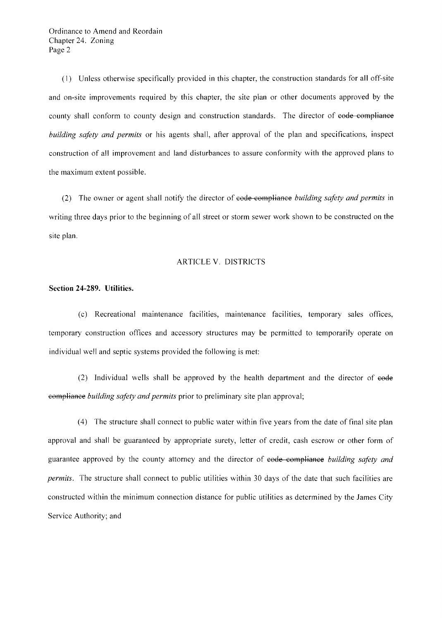(I) Unless otherwise specifically provided in this chapter, the construction standards for all off-site and on-site improvements required by this chapter, the site plan or other documents approved by the county shall conform to county design and construction standards. The director of eode compliance *building safety and permits* or his agents shall, after approval of the plan and specifications, inspect construction of all improvement and land disturbances to assure conformity with the approved plans to the maximum extent possible.

(2) The owner or agent shall notify the director of code compliance *building safety and permits* in writing three days prior to the beginning of all street or storm sewer work shown to be constructed on the site plan.

# ARTICLE V. DISTRICTS

## **Section 24-289. Utilities.**

(c) Recreational maintenance facilities, maintenance facilities, temporary sales offices, temporary construction offices and accessory structures may be permitted to temporarily operate on individual well and septic systems provided the following is met:

 $(2)$  Individual wells shall be approved by the health department and the director of  $\epsilon$ ode eompliance *building safety and permits* prior to preliminary site plan approval;

(4) The structure shall connect to public water within five years from the date of final site plan approval and shall be guaranteed by appropriate surety, letter of credit, cash escrow or other form of guarantee approved by the county attorney and the director of code compliance *building safety and permits.* The structure shall connect to public utilities within 30 days of the date that such facilities are constructed within the minimum connection distance for public utilities as determined by the James City Service Authority; and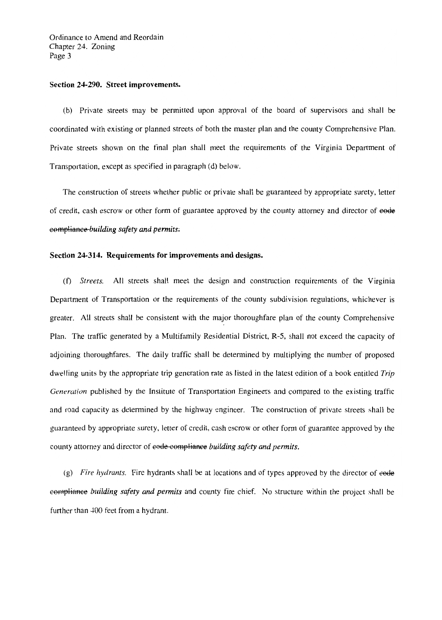#### Section 24-290. Street improvements.

(b) Private streets may be permitted upon approval of the board of supervisors and shall be coordinated with existing or planned streets of both the master plan and the county Comprehensive Plan. Private streets shown on the final plan shall meet the requirements of the Virginia Department of Transportation, except as specified in paragraph (d) below.

The construction of streets whether public or private shall be guaranteed by appropriate surety, letter of credit, cash escrow or other form of guarantee approved by the county attorney and director of eode eompliance-building safety and permits.

# Section 24-314. Requirements for improvements and designs.

(f) Streets. All streets shall meet the design and construction requirements of the Virginia Department of Transportation or the requirements of the county subdivision regulations, whichever is greater. All streets shall be consistent with the major thoroughfare plan of the county Comprehensive Plan. The traffic generated by a Multifamily Residential District, R-5, shall not exceed the capacity of adjoining thoroughfares. The daily traffic shall be determined by multiplying the number of proposed dwelling units by the appropriate trip generation rate as listed in the latest edition of a book entitled Trip Generation published by the Institute of Transportation Engineers and compared to the existing traffic and road capacity as determined by the highway engineer. The construction of private streets shall be guaranteed by appropriate surety, letter of credit, cash escrow or other form of guarantee approved by the county attorney and director of eode compliance building safety and permits.

(g) Fire hydrants. Fire hydrants shall be at locations and of types approved by the director of eode eompliance building safety and permits and county fire chief. No structure within the project shall be further than 400 feet from a hydrant.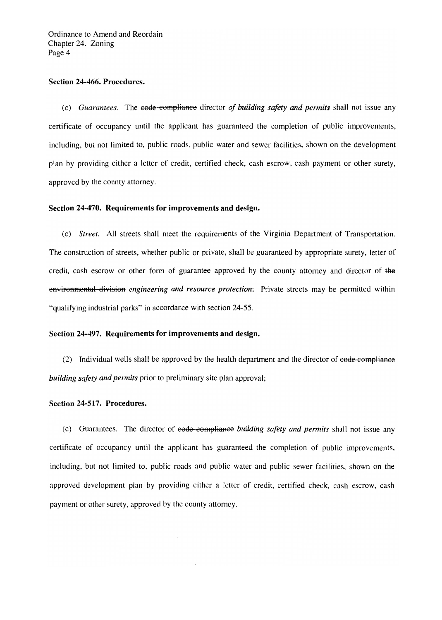## Section 24-466. Procedures.

(c) Guarantees. The eode-compliance director of building safety and permits shall not issue any certificate of occupancy until the applicant has guaranteed the completion of public improvements, including, but not limited to, public roads, public water and sewer facilities, shown on the development plan by providing either a letter of credit, certified check, cash escrow, cash payment or other surety, approved by the county attorney.

## Section 24-470. Requirements for improvements and design.

(c) Street. All streets shall meet the requirements of the Virginia Department of Transportation. The construction of streets, whether public or private, shall be guaranteed by appropriate surety, letter of credit, cash escrow or other form of guarantee approved by the county attorney and director of the environmental division engineering and resource protection. Private streets may be permitted within "qualifying industrial parks" in accordance with section 24-55.

## Section 24-497. Requirements for improvements and design.

(2) Individual wells shall be approved by the health department and the director of eode-compliance building safety and permits prior to preliminary site plan approval;

#### Section 24-517. Procedures.

(c) Guarantees. The director of eode compliance building safety and permits shall not issue any certificate of occupancy until the applicant has guaranteed the completion of public improvements, including, but not limited to, public roads and public water and public sewer facilities, shown on the approved development plan by providing either a letter of credit, certified check, cash escrow, cash payment or other surety, approved by the county attorney.